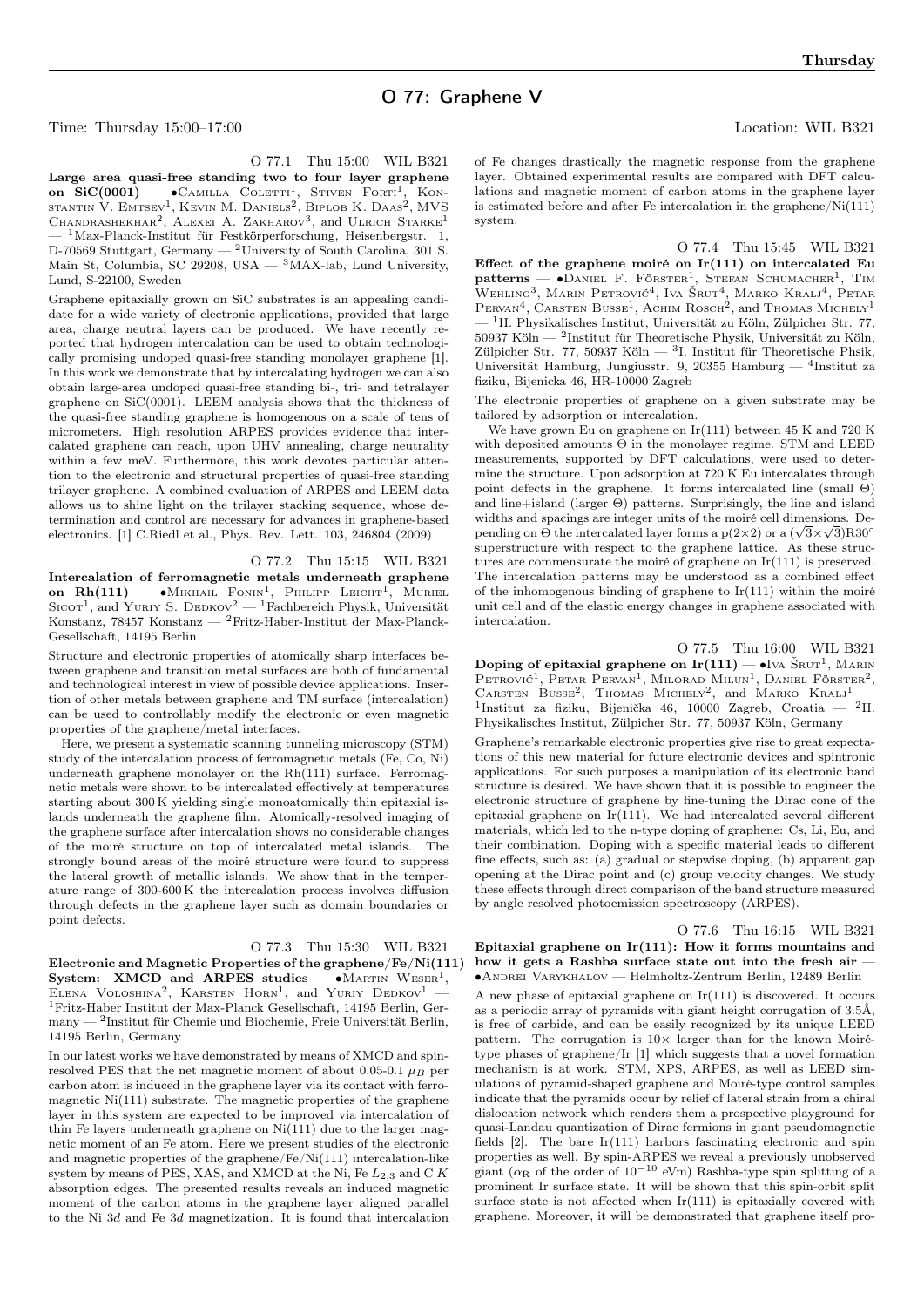Time: Thursday 15:00–17:00 Location: WIL B321

O 77.1 Thu 15:00 WIL B321 Large area quasi-free standing two to four layer graphene on SiC(0001) — •Camilla Coletti<sup>1</sup>, Stiven Forti<sup>1</sup>, Kon-<br>stantin V. Emtsev<sup>1</sup>, Kevin M. Daniels<sup>2</sup>, Biplob K. Daas<sup>2</sup>, MVS CHANDRASHEKHAR<sup>2</sup>, ALEXEI A. ZAKHAROV<sup>3</sup>, and ULRICH STARKE<sup>1</sup>  $1$ Max-Planck-Institut für Festkörperforschung, Heisenbergstr. 1, D-70569 Stuttgart, Germany — <sup>2</sup>University of South Carolina, 301 S. Main St, Columbia, SC 29208, USA  $-$  <sup>3</sup>MAX-lab, Lund University, Lund, S-22100, Sweden

Graphene epitaxially grown on SiC substrates is an appealing candidate for a wide variety of electronic applications, provided that large area, charge neutral layers can be produced. We have recently reported that hydrogen intercalation can be used to obtain technologically promising undoped quasi-free standing monolayer graphene [1]. In this work we demonstrate that by intercalating hydrogen we can also obtain large-area undoped quasi-free standing bi-, tri- and tetralayer graphene on SiC(0001). LEEM analysis shows that the thickness of the quasi-free standing graphene is homogenous on a scale of tens of micrometers. High resolution ARPES provides evidence that intercalated graphene can reach, upon UHV annealing, charge neutrality within a few meV. Furthermore, this work devotes particular attention to the electronic and structural properties of quasi-free standing trilayer graphene. A combined evaluation of ARPES and LEEM data allows us to shine light on the trilayer stacking sequence, whose determination and control are necessary for advances in graphene-based electronics. [1] C.Riedl et al., Phys. Rev. Lett. 103, 246804 (2009)

O 77.2 Thu 15:15 WIL B321

Intercalation of ferromagnetic metals underneath graphene on  $\text{Rh}(111)$  — • Mikhail Fonin<sup>1</sup>, Philipp Leicht<sup>1</sup> , Muriel SICOT<sup>1</sup>, and YURIY S. DEDKOV<sup>2</sup> — <sup>1</sup>Fachbereich Physik, Universität Konstanz, 78457 Konstanz — <sup>2</sup>Fritz-Haber-Institut der Max-Planck-Gesellschaft, 14195 Berlin

Structure and electronic properties of atomically sharp interfaces between graphene and transition metal surfaces are both of fundamental and technological interest in view of possible device applications. Insertion of other metals between graphene and TM surface (intercalation) can be used to controllably modify the electronic or even magnetic properties of the graphene/metal interfaces.

Here, we present a systematic scanning tunneling microscopy (STM) study of the intercalation process of ferromagnetic metals (Fe, Co, Ni) underneath graphene monolayer on the Rh(111) surface. Ferromagnetic metals were shown to be intercalated effectively at temperatures starting about 300 K yielding single monoatomically thin epitaxial islands underneath the graphene film. Atomically-resolved imaging of the graphene surface after intercalation shows no considerable changes of the moiré structure on top of intercalated metal islands. The strongly bound areas of the moiré structure were found to suppress the lateral growth of metallic islands. We show that in the temperature range of 300-600 K the intercalation process involves diffusion through defects in the graphene layer such as domain boundaries or point defects.

## O 77.3 Thu 15:30 WIL B321

Electronic and Magnetic Properties of the graphene/Fe/Ni(111) System: XMCD and ARPES studies — • MARTIN WESER<sup>1</sup>, ELENA VOLOSHINA<sup>2</sup>, KARSTEN HORN<sup>1</sup>, and Yuriy Dedkov<sup>1</sup> -<sup>1</sup>Fritz-Haber Institut der Max-Planck Gesellschaft, 14195 Berlin, Germany — <sup>2</sup> Institut für Chemie und Biochemie, Freie Universität Berlin, 14195 Berlin, Germany

In our latest works we have demonstrated by means of XMCD and spinresolved PES that the net magnetic moment of about 0.05-0.1  $\mu_B$  per carbon atom is induced in the graphene layer via its contact with ferromagnetic Ni(111) substrate. The magnetic properties of the graphene layer in this system are expected to be improved via intercalation of thin Fe layers underneath graphene on Ni(111) due to the larger magnetic moment of an Fe atom. Here we present studies of the electronic and magnetic properties of the graphene/Fe/Ni(111) intercalation-like system by means of PES, XAS, and XMCD at the Ni, Fe  $L_{2,3}$  and C K absorption edges. The presented results reveals an induced magnetic moment of the carbon atoms in the graphene layer aligned parallel to the Ni  $3d$  and Fe  $3d$  magnetization. It is found that intercalation of Fe changes drastically the magnetic response from the graphene layer. Obtained experimental results are compared with DFT calculations and magnetic moment of carbon atoms in the graphene layer is estimated before and after Fe intercalation in the graphene/Ni $(111)$ system.

O 77.4 Thu 15:45 WIL B321 Effect of the graphene moiré on  $Ir(111)$  on intercalated Eu  $\textbf{patterns} \longrightarrow \textbf{O}$ ANIEL F. FÖRSTER<sup>1</sup>, STEFAN SCHUMACHER<sup>1</sup>, TIM WEHLING<sup>3</sup>, MARIN PETROVIĆ<sup>4</sup>, IVA ŠRUT<sup>4</sup>, MARKO KRALJ<sup>4</sup>, PETAR PERVAN<sup>4</sup>, CARSTEN BUSSE<sup>1</sup>, ACHIM ROSCH<sup>2</sup>, and THOMAS MICHELY<sup>1</sup>  $-$  <sup>1</sup>II. Physikalisches Institut, Universität zu Köln, Zülpicher Str. 77, 50937 Köln — <sup>2</sup>Institut für Theoretische Physik, Universität zu Köln, Zülpicher Str. 77, 50937 Köln — <sup>3</sup>I. Institut für Theoretische Phsik, Universität Hamburg, Jungiusstr. 9, 20355 Hamburg — <sup>4</sup> Institut za fiziku, Bijenicka 46, HR-10000 Zagreb

The electronic properties of graphene on a given substrate may be tailored by adsorption or intercalation.

We have grown Eu on graphene on  $Ir(111)$  between 45 K and 720 K with deposited amounts  $\Theta$  in the monolayer regime. STM and LEED measurements, supported by DFT calculations, were used to determine the structure. Upon adsorption at 720 K Eu intercalates through point defects in the graphene. It forms intercalated line (small Θ) and line+island (larger  $\Theta$ ) patterns. Surprisingly, the line and island widths and spacings are integer units of the moiré cell dimensions. Dewidths and spacings are integer units of the moire cell dimensions. Depending on  $\Theta$  the intercalated layer forms a p(2×2) or a ( $\sqrt{3}\times\sqrt{3}$ )R30<sup>°</sup> superstructure with respect to the graphene lattice. As these structures are commensurate the moiré of graphene on Ir(111) is preserved. The intercalation patterns may be understood as a combined effect of the inhomogenous binding of graphene to  $Ir(111)$  within the moiré unit cell and of the elastic energy changes in graphene associated with intercalation.

O 77.5 Thu 16:00 WIL B321 Doping of epitaxial graphene on Ir(111) — •Iva ŠRUT<sup>1</sup>, MARIN Petrović<sup>1</sup>, Petar Pervan<sup>1</sup>, Milorad Milun<sup>1</sup>, Daniel Förster<sup>2</sup>, CARSTEN BUSSE<sup>2</sup>, THOMAS MICHELY<sup>2</sup>, and MARKO KRALJ<sup>1</sup> -1 Institut za fiziku, Bijenička 46, 10000 Zagreb, Croatia — <sup>2</sup> II. Physikalisches Institut, Zülpicher Str. 77, 50937 Köln, Germany

Graphene's remarkable electronic properties give rise to great expectations of this new material for future electronic devices and spintronic applications. For such purposes a manipulation of its electronic band structure is desired. We have shown that it is possible to engineer the electronic structure of graphene by fine-tuning the Dirac cone of the epitaxial graphene on  $Ir(111)$ . We had intercalated several different materials, which led to the n-type doping of graphene: Cs, Li, Eu, and their combination. Doping with a specific material leads to different fine effects, such as: (a) gradual or stepwise doping, (b) apparent gap opening at the Dirac point and (c) group velocity changes. We study these effects through direct comparison of the band structure measured by angle resolved photoemission spectroscopy (ARPES).

O 77.6 Thu 16:15 WIL B321 Epitaxial graphene on  $Ir(111)$ : How it forms mountains and how it gets a Rashba surface state out into the fresh air -∙Andrei Varykhalov — Helmholtz-Zentrum Berlin, 12489 Berlin

A new phase of epitaxial graphene on  $Ir(111)$  is discovered. It occurs as a periodic array of pyramids with giant height corrugation of 3.5Å, is free of carbide, and can be easily recognized by its unique LEED pattern. The corrugation is  $10\times$  larger than for the known Moirétype phases of graphene/Ir [1] which suggests that a novel formation mechanism is at work. STM, XPS, ARPES, as well as LEED simulations of pyramid-shaped graphene and Moiré-type control samples indicate that the pyramids occur by relief of lateral strain from a chiral dislocation network which renders them a prospective playground for quasi-Landau quantization of Dirac fermions in giant pseudomagnetic fields  $[2]$ . The bare  $Ir(111)$  harbors fascinating electronic and spin properties as well. By spin-ARPES we reveal a previously unobserved giant ( $\alpha_R$  of the order of 10<sup>-10</sup> eVm) Rashba-type spin splitting of a prominent Ir surface state. It will be shown that this spin-orbit split surface state is not affected when  $Ir(111)$  is epitaxially covered with graphene. Moreover, it will be demonstrated that graphene itself pro